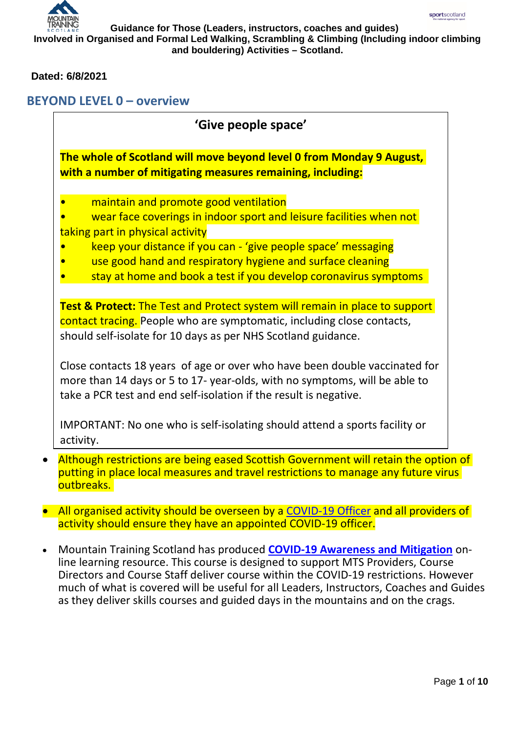#### **Dated: 6/8/2021**

## **BEYOND LEVEL 0 – overview**

|           | 'Give people space'                                                                                                                                                                                                               |
|-----------|-----------------------------------------------------------------------------------------------------------------------------------------------------------------------------------------------------------------------------------|
|           | The whole of Scotland will move beyond level 0 from Monday 9 August,<br>with a number of mitigating measures remaining, including:                                                                                                |
|           | maintain and promote good ventilation                                                                                                                                                                                             |
|           | wear face coverings in indoor sport and leisure facilities when not                                                                                                                                                               |
|           | taking part in physical activity                                                                                                                                                                                                  |
|           | keep your distance if you can - 'give people space' messaging                                                                                                                                                                     |
|           | use good hand and respiratory hygiene and surface cleaning                                                                                                                                                                        |
|           | stay at home and book a test if you develop coronavirus symptoms                                                                                                                                                                  |
|           | <b>Test &amp; Protect:</b> The Test and Protect system will remain in place to support<br>contact tracing. People who are symptomatic, including close contacts,<br>should self-isolate for 10 days as per NHS Scotland guidance. |
|           | Close contacts 18 years of age or over who have been double vaccinated for<br>more than 14 days or 5 to 17- year-olds, with no symptoms, will be able to<br>take a PCR test and end self-isolation if the result is negative.     |
| activity. | IMPORTANT: No one who is self-isolating should attend a sports facility or                                                                                                                                                        |
|           | Although restrictions are being eased Scottish Government will retain the option of<br>putting in place local measures and travel restrictions to manage any future virus<br>outbreaks.                                           |

- All organised activity should be overseen by a COVID-19 Officer and all providers of activity should ensure they have an appointed COVID-19 officer.
- Mountain Training Scotland has produced **[COVID-19 Awareness and Mitigation](https://mountain-training-scotland.teachable.com/p/covid-19-mitigation-and-awareness-mountain-training-scotland-courses/?preview=logged_out)** online learning resource. This course is designed to support MTS Providers, Course Directors and Course Staff deliver course within the COVID-19 restrictions. However much of what is covered will be useful for all Leaders, Instructors, Coaches and Guides as they deliver skills courses and guided days in the mountains and on the crags.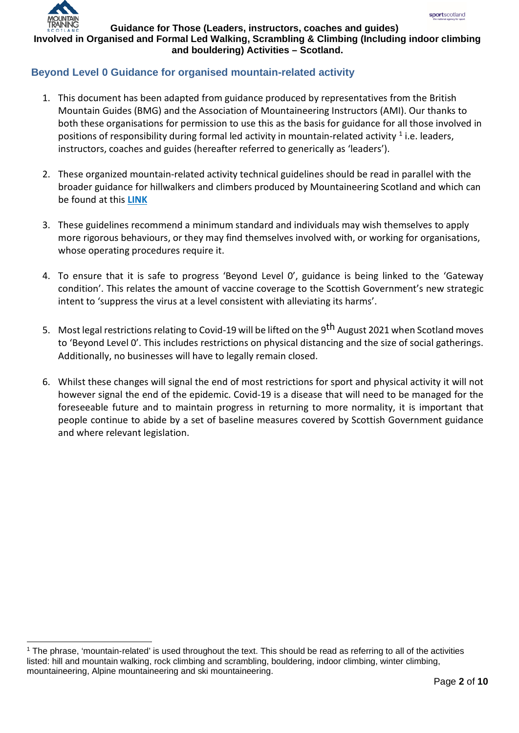

#### **Beyond Level 0 Guidance for organised mountain-related activity**

- 1. This document has been adapted from guidance produced by representatives from the British Mountain Guides (BMG) and the Association of Mountaineering Instructors (AMI). Our thanks to both these organisations for permission to use this as the basis for guidance for all those involved in positions of responsibility during formal led activity in mountain-related activity  $1$  i.e. leaders, instructors, coaches and guides (hereafter referred to generically as 'leaders').
- 2. These organized mountain-related activity technical guidelines should be read in parallel with the broader guidance for hillwalkers and climbers produced by Mountaineering Scotland and which can be found at this **[LINK](https://www.mountaineering.scot/coronavirus)**
- 3. These guidelines recommend a minimum standard and individuals may wish themselves to apply more rigorous behaviours, or they may find themselves involved with, or working for organisations, whose operating procedures require it.
- 4. To ensure that it is safe to progress 'Beyond Level 0', guidance is being linked to the 'Gateway condition'. This relates the amount of vaccine coverage to the Scottish Government's new strategic intent to 'suppress the virus at a level consistent with alleviating its harms'.
- 5. Most legal restrictions relating to Covid-19 will be lifted on the 9<sup>th</sup> August 2021 when Scotland moves to 'Beyond Level 0'. This includes restrictions on physical distancing and the size of social gatherings. Additionally, no businesses will have to legally remain closed.
- 6. Whilst these changes will signal the end of most restrictions for sport and physical activity it will not however signal the end of the epidemic. Covid-19 is a disease that will need to be managed for the foreseeable future and to maintain progress in returning to more normality, it is important that people continue to abide by a set of baseline measures covered by Scottish Government guidance and where relevant legislation.

<span id="page-1-0"></span><sup>&</sup>lt;sup>1</sup> The phrase, 'mountain-related' is used throughout the text. This should be read as referring to all of the activities listed: hill and mountain walking, rock climbing and scrambling, bouldering, indoor climbing, winter climbing, mountaineering, Alpine mountaineering and ski mountaineering.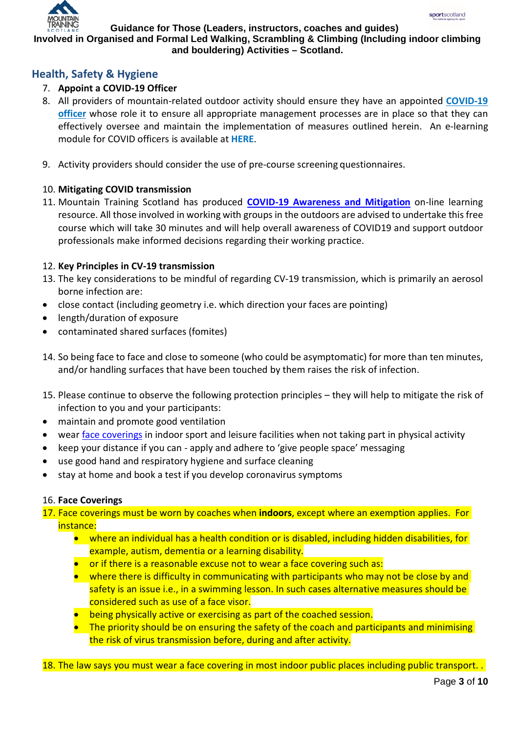

#### **Involved in Organised and Formal Led Walking, Scrambling & Climbing (Including indoor climbing and bouldering) Activities – Scotland.**

# **Health, Safety & Hygiene**

## 7. **Appoint a COVID-19 Officer**

- 8. All providers of mountain-related outdoor activity should ensure they have an appointed **[COVID-19](http://www.sportscotland.org.uk/media/5950/sportscotland-covid-officer.pdf)  [officer](http://www.sportscotland.org.uk/media/5950/sportscotland-covid-officer.pdf)** whose role it to ensure all appropriate management processes are in place so that they can effectively oversee and maintain the implementation of measures outlined herein. An e-learning module for COVID officers is available at **[HERE](https://rise.articulate.com/share/LlEWUj-o23H_4gC1AF002jdxdrCucQC0#/)**.
- 9. Activity providers should consider the use of pre-course screening questionnaires.

#### 10. **Mitigating COVID transmission**

11. Mountain Training Scotland has produced **[COVID-19 Awareness and Mitigation](https://mountain-training-scotland.teachable.com/p/covid-19-mitigation-and-awareness-mountain-training-scotland-courses/?preview=logged_out)** on-line learning resource. All those involved in working with groups in the outdoors are advised to undertake this free course which will take 30 minutes and will help overall awareness of COVID19 and support outdoor professionals make informed decisions regarding their working practice.

#### 12. **Key Principles in CV-19 transmission**

- 13. The key considerations to be mindful of regarding CV-19 transmission, which is primarily an aerosol borne infection are:
- close contact (including geometry i.e. which direction your faces are pointing)
- length/duration of exposure
- contaminated shared surfaces (fomites)
- 14. So being face to face and close to someone (who could be asymptomatic) for more than ten minutes, and/or handling surfaces that have been touched by them raises the risk of infection.
- 15. Please continue to observe the following protection principles they will help to mitigate the risk of infection to you and your participants:
- maintain and promote good ventilation
- wear face coverings in indoor sport and leisure facilities when not taking part in physical activity
- keep your distance if you can apply and adhere to 'give people space' messaging
- use good hand and respiratory hygiene and surface cleaning
- stay at home and book a test if you develop coronavirus symptoms

#### 16. **Face Coverings**

- 17. Face coverings must be worn by coaches when **indoors**, except where an exemption applies. For instance:
	- where an individual has a health condition or is disabled, including hidden disabilities, for example, autism, dementia or a learning disability.
	- or if there is a reasonable excuse not to wear a face covering such as:
	- where there is difficulty in communicating with participants who may not be close by and safety is an issue i.e., in a swimming lesson. In such cases alternative measures should be considered such as use of a face visor.
	- being physically active or exercising as part of the coached session.
	- The priority should be on ensuring the safety of the coach and participants and minimising the risk of virus transmission before, during and after activity.

18. The law says you must wear a face covering in most indoor public places including public transport...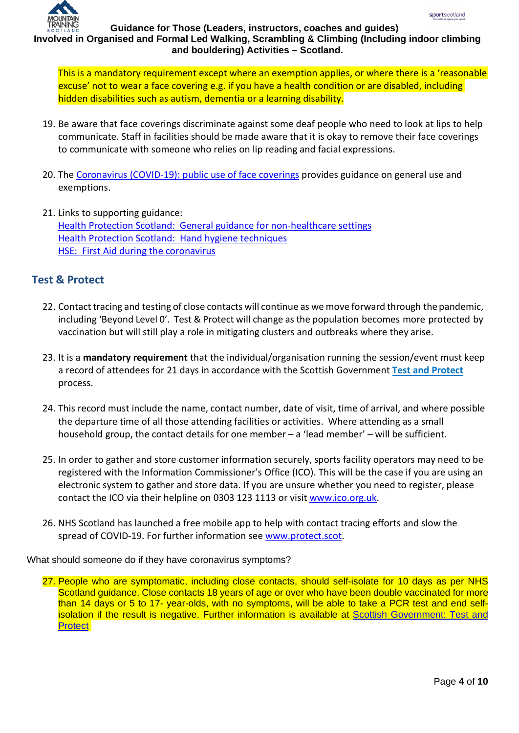

This is a mandatory requirement except where an exemption applies, or where there is a 'reasonable excuse' not to wear a face covering e.g. if you have a health condition or are disabled, including hidden disabilities such as autism, dementia or a learning disability.

- 19. Be aware that face coverings discriminate against some deaf people who need to look at lips to help communicate. Staff in facilities should be made aware that it is okay to remove their face coverings to communicate with someone who relies on lip reading and facial expressions.
- 20. The [Coronavirus \(COVID-19\): public use of face coverings](https://www.gov.scot/publications/coronavirus-covid-19-public-use-of-face-coverings/) provides guidance on general use and exemptions.
- 21. Links to supporting guidance: [Health Protection Scotland: General guidance for non-healthcare settings](https://www.hps.scot.nhs.uk/web-resources-container/covid-19-guidance-for-non-healthcare-settings/) [Health Protection Scotland: Hand hygiene techniques](https://www.hps.scot.nhs.uk/a-to-z-of-topics/hand-hygiene/) [HSE: First Aid during the coronavirus](https://www.hse.gov.uk/coronavirus/first-aid-and-medicals/first-aid-certificate-coronavirus.htm)

# **Test & Protect**

- 22. Contact tracing and testing of close contacts will continue as we move forward through the pandemic, including 'Beyond Level 0'. Test & Protect will change as the population becomes more protected by vaccination but will still play a role in mitigating clusters and outbreaks where they arise.
- 23. It is a **mandatory requirement** that the individual/organisation running the session/event must keep a record of attendees for 21 days in accordance with the Scottish Government **[Test and Protect](https://www.gov.scot/publications/test-protect-multi-sector-guidance-collection-customer-visitor-contact-details-july-2020/)** process.
- 24. This record must include the name, contact number, date of visit, time of arrival, and where possible the departure time of all those attending facilities or activities. Where attending as a small household group, the contact details for one member – a 'lead member' – will be sufficient.
- 25. In order to gather and store customer information securely, sports facility operators may need to be registered with the Information Commissioner's Office (ICO). This will be the case if you are using an electronic system to gather and store data. If you are unsure whether you need to register, please contact the ICO via their helpline on 0303 123 1113 or visit [www.ico.org.uk.](http://www.ico.org.uk/)
- 26. NHS Scotland has launched a free mobile app to help with contact tracing efforts and slow the spread of COVID-19. For further information see [www.protect.scot.](http://www.protect.scot/)

What should someone do if they have coronavirus symptoms?

27. People who are symptomatic, including close contacts, should self-isolate for 10 days as per NHS Scotland guidance. Close contacts 18 years of age or over who have been double vaccinated for more than 14 days or 5 to 17- year-olds, with no symptoms, will be able to take a PCR test and end selfisolation if the result is negative. Further information is available at [Scottish Government: Test and](https://www.gov.scot/publications/coronavirus-covid-19-test-and-protect/)  **[Protect](https://www.gov.scot/publications/coronavirus-covid-19-test-and-protect/)**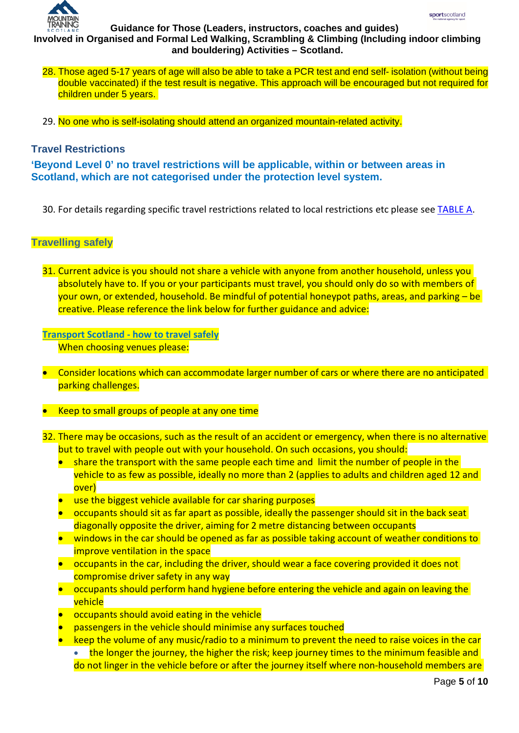

## **Involved in Organised and Formal Led Walking, Scrambling & Climbing (Including indoor climbing and bouldering) Activities – Scotland.**

- 28. Those aged 5-17 years of age will also be able to take a PCR test and end self- isolation (without being double vaccinated) if the test result is negative. This approach will be encouraged but not required for children under 5 years.
- 29. No one who is self-isolating should attend an organized mountain-related activity.

### **Travel Restrictions**

**'Beyond Level 0' no travel restrictions will be applicable, within or between areas in Scotland, which are not categorised under the protection level system.**

30. For details regarding specific travel restrictions related to local restrictions etc please see [TABLE A.](#page-7-0)

#### **Travelling safely**

31. Current advice is you should not share a vehicle with anyone from another household, unless you absolutely have to. If you or your participants must travel, you should only do so with members of your own, or extended, household. Be mindful of potential honeypot paths, areas, and parking – be creative. Please reference the link below for further guidance and advice:

**[Transport Scotland -](https://www.transport.gov.scot/coronavirus-covid-19/transport-transition-plan/advice-on-how-to-travel-safely/#section-63888) how to travel safely** When choosing venues please:

- Consider locations which can accommodate larger number of cars or where there are no anticipated parking challenges.
- Keep to small groups of people at any one time
- 32. There may be occasions, such as the result of an accident or emergency, when there is no alternative but to travel with people out with your household. On such occasions, you should:
	- share the transport with the same people each time and limit the number of people in the vehicle to as few as possible, ideally no more than 2 (applies to adults and children aged 12 and over)
	- use the biggest vehicle available for car sharing purposes
	- occupants should sit as far apart as possible, ideally the passenger should sit in the back seat diagonally opposite the driver, aiming for 2 metre distancing between occupants
	- windows in the car should be opened as far as possible taking account of weather conditions to improve ventilation in the space
	- occupants in the car, including the driver, should wear a face covering provided it does not compromise driver safety in any way
	- occupants should perform hand hygiene before entering the vehicle and again on leaving the vehicle
	- occupants should avoid eating in the vehicle
	- passengers in the vehicle should minimise any surfaces touched
	- keep the volume of any music/radio to a minimum to prevent the need to raise voices in the car • the longer the journey, the higher the risk; keep journey times to the minimum feasible and do not linger in the vehicle before or after the journey itself where non-household members are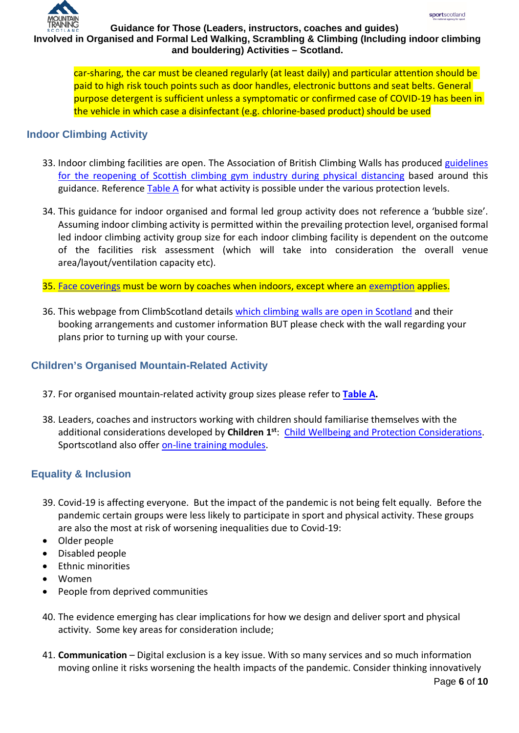

car-sharing, the car must be cleaned regularly (at least daily) and particular attention should be paid to high risk touch points such as door handles, electronic buttons and seat belts. General purpose detergent is sufficient unless a symptomatic or confirmed case of COVID-19 has been in the vehicle in which case a disinfectant (e.g. chlorine-based product) should be used

#### **Indoor Climbing Activity**

- 33. Indoor climbing facilities are open. The Association of British Climbing Walls has produced [guidelines](https://www.mountaineering.scot/assets/contentfiles/media-upload/ABC_Covid-19_Reopening_Guide_Scotland_-_final_draft.pdf)  [for the reopening of Scottish climbing gym industry during physical distancing](https://www.mountaineering.scot/assets/contentfiles/media-upload/ABC_Covid-19_Reopening_Guide_Scotland_-_final_draft.pdf) based around this guidance. Reference [Table A](#page-7-0) for what activity is possible under the various protection levels.
- 34. This guidance for indoor organised and formal led group activity does not reference a 'bubble size'. Assuming indoor climbing activity is permitted within the prevailing protection level, organised formal led indoor climbing activity group size for each indoor climbing facility is dependent on the outcome of the facilities risk assessment (which will take into consideration the overall venue area/layout/ventilation capacity etc).
- 35. Face coverings must be worn by coaches when indoors, except where an exemption applies.
- 36. This webpage from ClimbScotland details [which climbing walls are open in Scotland](https://www.climbscotland.net/what%60s-happening/news/what-walls-are-open-) and their booking arrangements and customer information BUT please check with the wall regarding your plans prior to turning up with your course.

### **Children's Organised Mountain-Related Activity**

- 37. For organised mountain-related activity group sizes please refer to **[Table A.](#page-7-0)**
- 38. Leaders, coaches and instructors working with children should familiarise themselves with the additional considerations developed by **Children 1st**: [Child Wellbeing and Protection Considerations.](http://www.sportscotland.org.uk/media/5774/cyp-return-to-sport-after-covid-19.pdf) Sportscotland also offer [on-line training modules.](https://sportscotland.org.uk/training/)

## **Equality & Inclusion**

- 39. Covid-19 is affecting everyone. But the impact of the pandemic is not being felt equally. Before the pandemic certain groups were less likely to participate in sport and physical activity. These groups are also the most at risk of worsening inequalities due to Covid-19:
- Older people
- Disabled people
- Ethnic minorities
- Women
- People from deprived communities
- 40. The evidence emerging has clear implications for how we design and deliver sport and physical activity. Some key areas for consideration include;
- 41. **Communication** Digital exclusion is a key issue. With so many services and so much information moving online it risks worsening the health impacts of the pandemic. Consider thinking innovatively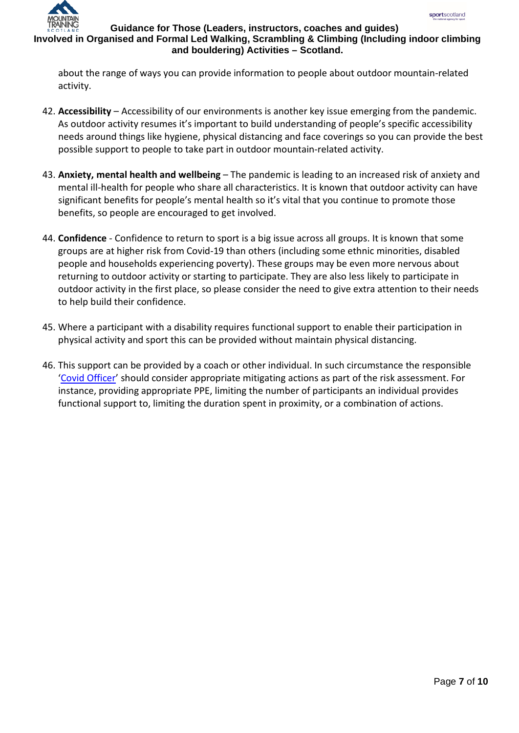

## **Involved in Organised and Formal Led Walking, Scrambling & Climbing (Including indoor climbing and bouldering) Activities – Scotland.**

about the range of ways you can provide information to people about outdoor mountain-related activity.

- 42. **Accessibility** Accessibility of our environments is another key issue emerging from the pandemic. As outdoor activity resumes it's important to build understanding of people's specific accessibility needs around things like hygiene, physical distancing and face coverings so you can provide the best possible support to people to take part in outdoor mountain-related activity.
- 43. **Anxiety, mental health and wellbeing** The pandemic is leading to an increased risk of anxiety and mental ill-health for people who share all characteristics. It is known that outdoor activity can have significant benefits for people's mental health so it's vital that you continue to promote those benefits, so people are encouraged to get involved.
- 44. **Confidence** Confidence to return to sport is a big issue across all groups. It is known that some groups are at higher risk from Covid-19 than others (including some ethnic minorities, disabled people and households experiencing poverty). These groups may be even more nervous about returning to outdoor activity or starting to participate. They are also less likely to participate in outdoor activity in the first place, so please consider the need to give extra attention to their needs to help build their confidence.
- 45. Where a participant with a disability requires functional support to enable their participation in physical activity and sport this can be provided without maintain physical distancing.
- 46. This support can be provided by a coach or other individual. In such circumstance the responsible 'Covid Officer' should consider appropriate mitigating actions as part of the risk assessment. For instance, providing appropriate PPE, limiting the number of participants an individual provides functional support to, limiting the duration spent in proximity, or a combination of actions.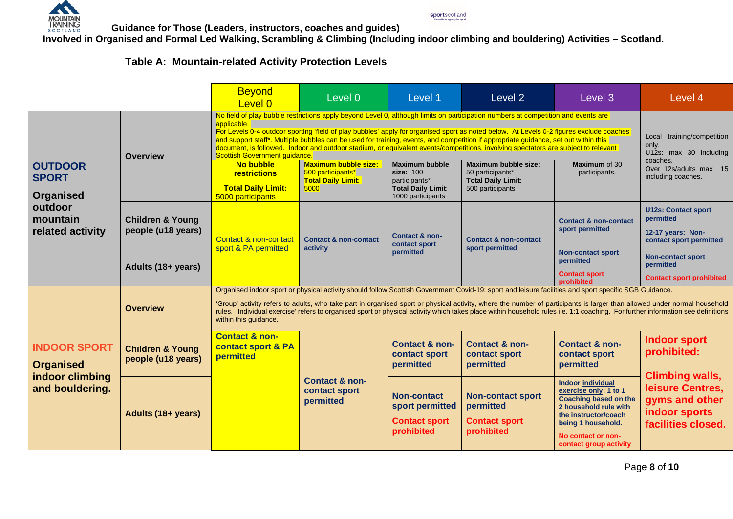

**Involved in Organised and Formal Led Walking, Scrambling & Climbing (Including indoor climbing and bouldering) Activities – Scotland.**

sportscotland

## **Table A: Mountain-related Activity Protection Levels**

<span id="page-7-0"></span>

|                                                    |                                                   | <b>Beyond</b><br>Level 0                                                                                                                                                                                                                                                                                                                                                                                                                                                                                                                      | Level 0                                                                               | Level 1                                                                                               | Level 2                                                                                                                                                                                                                                                                                                                                                                                                                                                                                                                                                                                                                                                | Level 3                                                                                                                                                                                           | Level 4                                                                                                                                   |
|----------------------------------------------------|---------------------------------------------------|-----------------------------------------------------------------------------------------------------------------------------------------------------------------------------------------------------------------------------------------------------------------------------------------------------------------------------------------------------------------------------------------------------------------------------------------------------------------------------------------------------------------------------------------------|---------------------------------------------------------------------------------------|-------------------------------------------------------------------------------------------------------|--------------------------------------------------------------------------------------------------------------------------------------------------------------------------------------------------------------------------------------------------------------------------------------------------------------------------------------------------------------------------------------------------------------------------------------------------------------------------------------------------------------------------------------------------------------------------------------------------------------------------------------------------------|---------------------------------------------------------------------------------------------------------------------------------------------------------------------------------------------------|-------------------------------------------------------------------------------------------------------------------------------------------|
| <b>OUTDOOR</b><br><b>SPORT</b><br><b>Organised</b> | <b>Overview</b>                                   | applicable.<br>Scottish Government guidance.<br>No bubble<br>restrictions<br><b>Total Daily Limit:</b><br>5000 participants                                                                                                                                                                                                                                                                                                                                                                                                                   | <b>Maximum bubble size:</b><br>500 participants*<br><b>Total Daily Limit:</b><br>5000 | <b>Maximum bubble</b><br>size: 100<br>participants*<br><b>Total Daily Limit:</b><br>1000 participants | No field of play bubble restrictions apply beyond Level 0, although limits on participation numbers at competition and events are<br>For Levels 0-4 outdoor sporting 'field of play bubbles' apply for organised sport as noted below. At Levels 0-2 figures exclude coaches<br>and support staff*. Multiple bubbles can be used for training, events, and competition if appropriate guidance, set out within this<br>document, is followed. Indoor and outdoor stadium, or equivalent events/competitions, involving spectators are subject to relevant<br>Maximum bubble size:<br>50 participants*<br><b>Total Daily Limit:</b><br>500 participants | Maximum of 30<br>participants.                                                                                                                                                                    | training/competition<br>Local<br>only.<br>U12s: max 30 including<br>coaches.<br>Over 12s/adults max 15<br>including coaches.              |
| outdoor<br>mountain<br>related activity            | <b>Children &amp; Young</b><br>people (u18 years) | Contact & non-contact                                                                                                                                                                                                                                                                                                                                                                                                                                                                                                                         | <b>Contact &amp; non-contact</b><br>activity                                          | Contact & non-<br>contact sport<br>permitted                                                          | <b>Contact &amp; non-contact</b><br>sport permitted                                                                                                                                                                                                                                                                                                                                                                                                                                                                                                                                                                                                    | <b>Contact &amp; non-contact</b><br>sport permitted                                                                                                                                               | <b>U12s: Contact sport</b><br>permitted<br>12-17 years: Non-<br>contact sport permitted                                                   |
|                                                    | Adults (18+ years)                                | sport & PA permitted                                                                                                                                                                                                                                                                                                                                                                                                                                                                                                                          |                                                                                       |                                                                                                       |                                                                                                                                                                                                                                                                                                                                                                                                                                                                                                                                                                                                                                                        | <b>Non-contact sport</b><br>permitted<br><b>Contact sport</b><br>prohibited                                                                                                                       | <b>Non-contact sport</b><br>permitted<br><b>Contact sport prohibited</b>                                                                  |
|                                                    | <b>Overview</b>                                   | Organised indoor sport or physical activity should follow Scottish Government Covid-19: sport and leisure facilities and sport specific SGB Guidance.<br>'Group' activity refers to adults, who take part in organised sport or physical activity, where the number of participants is larger than allowed under normal household<br>rules. 'Individual exercise' refers to organised sport or physical activity which takes place within household rules i.e. 1:1 coaching. For further information see definitions<br>within this guidance. |                                                                                       |                                                                                                       |                                                                                                                                                                                                                                                                                                                                                                                                                                                                                                                                                                                                                                                        |                                                                                                                                                                                                   |                                                                                                                                           |
| <b>INDOOR SPORT</b><br><b>Organised</b>            | <b>Children &amp; Young</b><br>people (u18 years) | <b>Contact &amp; non-</b><br>contact sport & PA<br>permitted                                                                                                                                                                                                                                                                                                                                                                                                                                                                                  | <b>Contact &amp; non-</b><br>contact sport<br>permitted                               | Contact & non-<br>contact sport<br>permitted                                                          | <b>Contact &amp; non-</b><br>contact sport<br>permitted                                                                                                                                                                                                                                                                                                                                                                                                                                                                                                                                                                                                | <b>Contact &amp; non-</b><br>contact sport<br>permitted                                                                                                                                           | <b>Indoor sport</b><br>prohibited:<br><b>Climbing walls,</b><br>leisure Centres,<br>gyms and other<br>indoor sports<br>facilities closed. |
| indoor climbing<br>and bouldering.                 | Adults (18+ years)                                |                                                                                                                                                                                                                                                                                                                                                                                                                                                                                                                                               |                                                                                       | <b>Non-contact</b><br>sport permitted<br><b>Contact sport</b><br>prohibited                           | <b>Non-contact sport</b><br>permitted<br><b>Contact sport</b><br>prohibited                                                                                                                                                                                                                                                                                                                                                                                                                                                                                                                                                                            | Indoor individual<br>exercise only; 1 to 1<br><b>Coaching based on the</b><br>2 household rule with<br>the instructor/coach<br>being 1 household.<br>No contact or non-<br>contact group activity |                                                                                                                                           |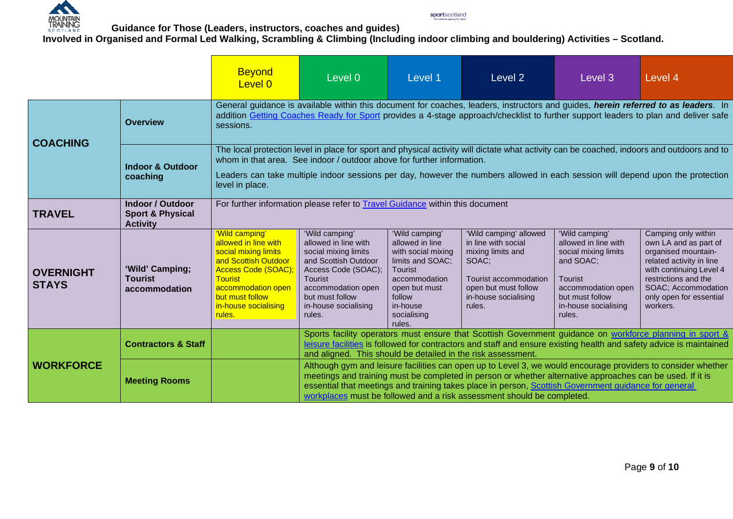

**Involved in Organised and Formal Led Walking, Scrambling & Climbing (Including indoor climbing and bouldering) Activities – Scotland.**

sportscotland

|                                  |                                                                           | <b>Beyond</b><br>Level 0                                                                                                                                                                                                                                                                                                                                                  | Level 0                                                                                                                                                                                                                                                                                                                                                                                                     | Level 1                                                                                                                                                                 | Level 2                                                                                                                                                        | Level 3                                                                                                                                                           | Level 4                                                                                                                                                                                                          |  |
|----------------------------------|---------------------------------------------------------------------------|---------------------------------------------------------------------------------------------------------------------------------------------------------------------------------------------------------------------------------------------------------------------------------------------------------------------------------------------------------------------------|-------------------------------------------------------------------------------------------------------------------------------------------------------------------------------------------------------------------------------------------------------------------------------------------------------------------------------------------------------------------------------------------------------------|-------------------------------------------------------------------------------------------------------------------------------------------------------------------------|----------------------------------------------------------------------------------------------------------------------------------------------------------------|-------------------------------------------------------------------------------------------------------------------------------------------------------------------|------------------------------------------------------------------------------------------------------------------------------------------------------------------------------------------------------------------|--|
| <b>COACHING</b>                  | <b>Overview</b>                                                           | General guidance is available within this document for coaches, leaders, instructors and guides, herein referred to as leaders. In<br>addition Getting Coaches Ready for Sport provides a 4-stage approach/checklist to further support leaders to plan and deliver safe<br>sessions.                                                                                     |                                                                                                                                                                                                                                                                                                                                                                                                             |                                                                                                                                                                         |                                                                                                                                                                |                                                                                                                                                                   |                                                                                                                                                                                                                  |  |
|                                  | <b>Indoor &amp; Outdoor</b><br>coaching                                   | The local protection level in place for sport and physical activity will dictate what activity can be coached, indoors and outdoors and to<br>whom in that area. See indoor / outdoor above for further information.<br>Leaders can take multiple indoor sessions per day, however the numbers allowed in each session will depend upon the protection<br>level in place. |                                                                                                                                                                                                                                                                                                                                                                                                             |                                                                                                                                                                         |                                                                                                                                                                |                                                                                                                                                                   |                                                                                                                                                                                                                  |  |
| <b>TRAVEL</b>                    | <b>Indoor / Outdoor</b><br><b>Sport &amp; Physical</b><br><b>Activity</b> | For further information please refer to <b>Travel Guidance</b> within this document                                                                                                                                                                                                                                                                                       |                                                                                                                                                                                                                                                                                                                                                                                                             |                                                                                                                                                                         |                                                                                                                                                                |                                                                                                                                                                   |                                                                                                                                                                                                                  |  |
| <b>OVERNIGHT</b><br><b>STAYS</b> | 'Wild' Camping;<br><b>Tourist</b><br>accommodation                        | 'Wild camping'<br>allowed in line with<br>social mixing limits<br>and Scottish Outdoor<br><b>Access Code (SOAC)</b><br><b>Tourist</b><br>accommodation open<br>but must follow<br>in-house socialising<br>rules.                                                                                                                                                          | 'Wild camping'<br>allowed in line with<br>social mixing limits<br>and Scottish Outdoor<br>Access Code (SOAC);<br><b>Tourist</b><br>accommodation open<br>but must follow<br>in-house socialising<br>rules.                                                                                                                                                                                                  | 'Wild camping'<br>allowed in line<br>with social mixing<br>limits and SOAC;<br>Tourist<br>accommodation<br>open but must<br>follow<br>in-house<br>socialising<br>rules. | 'Wild camping' allowed<br>in line with social<br>mixing limits and<br>SOAC;<br>Tourist accommodation<br>open but must follow<br>in-house socialising<br>rules. | 'Wild camping'<br>allowed in line with<br>social mixing limits<br>and SOAC;<br>Tourist<br>accommodation open<br>but must follow<br>in-house socialising<br>rules. | Camping only within<br>own LA and as part of<br>organised mountain-<br>related activity in line<br>with continuing Level 4<br>restrictions and the<br>SOAC; Accommodation<br>only open for essential<br>workers. |  |
|                                  | <b>Contractors &amp; Staff</b>                                            |                                                                                                                                                                                                                                                                                                                                                                           | Sports facility operators must ensure that Scottish Government guidance on workforce planning in sport &<br>leisure facilities is followed for contractors and staff and ensure existing health and safety advice is maintained<br>and aligned. This should be detailed in the risk assessment.                                                                                                             |                                                                                                                                                                         |                                                                                                                                                                |                                                                                                                                                                   |                                                                                                                                                                                                                  |  |
| <b>WORKFORCE</b>                 | <b>Meeting Rooms</b>                                                      |                                                                                                                                                                                                                                                                                                                                                                           | Although gym and leisure facilities can open up to Level 3, we would encourage providers to consider whether<br>meetings and training must be completed in person or whether alternative approaches can be used. If it is<br>essential that meetings and training takes place in person, Scottish Government guidance for general<br>workplaces must be followed and a risk assessment should be completed. |                                                                                                                                                                         |                                                                                                                                                                |                                                                                                                                                                   |                                                                                                                                                                                                                  |  |